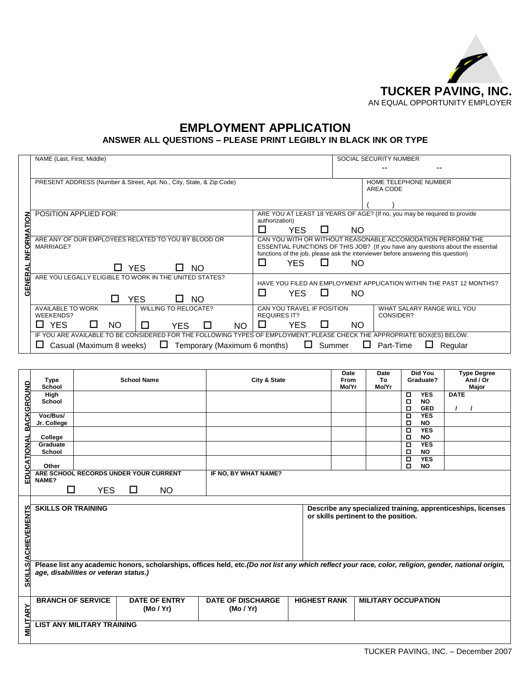

## **EMPLOYMENT APPLICATION ANSWER ALL QUESTIONS – PLEASE PRINT LEGIBLY IN BLACK INK OR TYPE**

|                  | NAME (Last, First, Middle)                                                                                                                                                                | SOCIAL SECURITY NUMBER                                                                                                                                                                                                                                             |  |  |  |  |
|------------------|-------------------------------------------------------------------------------------------------------------------------------------------------------------------------------------------|--------------------------------------------------------------------------------------------------------------------------------------------------------------------------------------------------------------------------------------------------------------------|--|--|--|--|
|                  |                                                                                                                                                                                           |                                                                                                                                                                                                                                                                    |  |  |  |  |
|                  | PRESENT ADDRESS (Number & Street, Apt. No., City, State, & Zip Code)                                                                                                                      | HOME TELEPHONE NUMBER<br>AREA CODE                                                                                                                                                                                                                                 |  |  |  |  |
| <b>NOLT</b>      | <b>POSITION APPLIED FOR:</b>                                                                                                                                                              | ARE YOU AT LEAST 18 YEARS OF AGE? (If no, you may be required to provide<br>authorization)<br>П<br><b>YFS</b><br>H<br>NO.                                                                                                                                          |  |  |  |  |
| <b>FORM</b><br>₹ | ARE ANY OF OUR EMPLOYEES RELATED TO YOU BY BLOOD OR<br>MARRIAGE?<br><b>YES</b><br><b>NO</b>                                                                                               | CAN YOU WITH OR WITHOUT REASONABLE ACCOMODATION PERFORM THE<br>ESSENTIAL FUNCTIONS OF THIS JOB? (If you have any questions about the essential<br>functions of the job, please ask the interviewer before answering this question)<br>П<br><b>YES</b><br>LΙ<br>NO. |  |  |  |  |
| GENER            | ARE YOU LEGALLY ELIGIBLE TO WORK IN THE UNITED STATES?<br><b>YES</b><br>ΙI<br>NO.<br>$\mathbf{L}$                                                                                         | HAVE YOU FILED AN EMPLOYMENT APPLICATION WITHIN THE PAST 12 MONTHS?<br>П<br><b>YES</b><br>$\mathbf{L}$<br>NO.                                                                                                                                                      |  |  |  |  |
|                  | <b>AVAILABLE TO WORK</b><br><b>WILLING TO RELOCATE?</b><br><b>WEEKENDS?</b><br><b>YES</b><br>NO.<br>П<br><b>NO</b><br>YES.<br>$\mathbf{L}$                                                | CAN YOU TRAVEL IF POSITION<br>WHAT SALARY RANGE WILL YOU<br><b>REQUIRES IT?</b><br>CONSIDER?<br><b>YES</b><br>LΙ<br>NO.<br>⊔                                                                                                                                       |  |  |  |  |
|                  | IF YOU ARE AVAILABLE TO BE CONSIDERED FOR THE FOLLOWING TYPES OF EMPLOYMENT, PLEASE CHECK THE APPROPRIATE BOX(ES) BELOW.<br>Casual (Maximum 8 weeks)<br>Temporary (Maximum 6 months)<br>ш | Summer<br>$\Box$<br>Part-Time<br>ப<br>Regular<br>ப                                                                                                                                                                                                                 |  |  |  |  |

|                    | <b>Type</b>               |                                       | <b>School Name</b>                    | Date<br>City & State<br>From                                                                                                                          |                     | <b>Date</b><br>To                                            | <b>Did You</b><br><b>Type Degree</b><br>And / Or<br>Graduate? |             |  |  |  |
|--------------------|---------------------------|---------------------------------------|---------------------------------------|-------------------------------------------------------------------------------------------------------------------------------------------------------|---------------------|--------------------------------------------------------------|---------------------------------------------------------------|-------------|--|--|--|
|                    | School                    |                                       |                                       |                                                                                                                                                       | Mo/Yr               | Mo/Yr                                                        |                                                               | Major       |  |  |  |
|                    | High                      |                                       |                                       |                                                                                                                                                       |                     |                                                              | <b>YES</b><br>o                                               | <b>DATE</b> |  |  |  |
|                    | School                    |                                       |                                       |                                                                                                                                                       |                     |                                                              | <b>NO</b><br>П                                                |             |  |  |  |
|                    |                           |                                       |                                       |                                                                                                                                                       |                     |                                                              | $\Box$<br><b>GED</b>                                          |             |  |  |  |
| ACKGROUND          | Voc/Bus/                  |                                       |                                       |                                                                                                                                                       |                     |                                                              | <b>YES</b><br>Ξ                                               |             |  |  |  |
|                    | Jr. College               |                                       |                                       |                                                                                                                                                       |                     |                                                              | о<br><b>NO</b>                                                |             |  |  |  |
| m<br>TIONAL        |                           |                                       |                                       |                                                                                                                                                       |                     |                                                              | <b>YES</b><br>Д                                               |             |  |  |  |
|                    | College                   |                                       |                                       |                                                                                                                                                       |                     |                                                              | <b>NO</b><br>о                                                |             |  |  |  |
|                    | Graduate                  |                                       |                                       |                                                                                                                                                       |                     |                                                              | $\Box$<br><b>YES</b>                                          |             |  |  |  |
|                    | School                    |                                       |                                       |                                                                                                                                                       |                     |                                                              | <b>NO</b><br>Д                                                |             |  |  |  |
| ∢                  |                           |                                       |                                       |                                                                                                                                                       |                     |                                                              | <b>YES</b><br>Д                                               |             |  |  |  |
| ن                  | Other                     |                                       |                                       |                                                                                                                                                       |                     |                                                              | O<br><b>NO</b>                                                |             |  |  |  |
| EDU                |                           |                                       | ARE SCHOOL RECORDS UNDER YOUR CURRENT | IF NO, BY WHAT NAME?                                                                                                                                  |                     |                                                              |                                                               |             |  |  |  |
|                    | NAME?                     |                                       |                                       |                                                                                                                                                       |                     |                                                              |                                                               |             |  |  |  |
|                    | □                         | <b>YES</b>                            | □<br><b>NO</b>                        |                                                                                                                                                       |                     |                                                              |                                                               |             |  |  |  |
|                    |                           |                                       |                                       |                                                                                                                                                       |                     |                                                              |                                                               |             |  |  |  |
|                    |                           |                                       |                                       |                                                                                                                                                       |                     |                                                              |                                                               |             |  |  |  |
|                    | <b>SKILLS OR TRAINING</b> |                                       |                                       |                                                                                                                                                       |                     | Describe any specialized training, apprenticeships, licenses |                                                               |             |  |  |  |
|                    |                           |                                       |                                       |                                                                                                                                                       |                     | or skills pertinent to the position.                         |                                                               |             |  |  |  |
|                    |                           |                                       |                                       |                                                                                                                                                       |                     |                                                              |                                                               |             |  |  |  |
|                    |                           |                                       |                                       |                                                                                                                                                       |                     |                                                              |                                                               |             |  |  |  |
|                    |                           |                                       |                                       |                                                                                                                                                       |                     |                                                              |                                                               |             |  |  |  |
|                    |                           |                                       |                                       |                                                                                                                                                       |                     |                                                              |                                                               |             |  |  |  |
|                    |                           |                                       |                                       |                                                                                                                                                       |                     |                                                              |                                                               |             |  |  |  |
| <b>CHIEVEMENTS</b> |                           |                                       |                                       |                                                                                                                                                       |                     |                                                              |                                                               |             |  |  |  |
| ⋖                  |                           |                                       |                                       |                                                                                                                                                       |                     |                                                              |                                                               |             |  |  |  |
| ଉ                  |                           |                                       |                                       | Please list any academic honors, scholarships, offices held, etc. (Do not list any which reflect your race, color, religion, gender, national origin, |                     |                                                              |                                                               |             |  |  |  |
|                    |                           | age, disabilities or veteran status.) |                                       |                                                                                                                                                       |                     |                                                              |                                                               |             |  |  |  |
|                    |                           |                                       |                                       |                                                                                                                                                       |                     |                                                              |                                                               |             |  |  |  |
| <b>SKILL</b>       |                           |                                       |                                       |                                                                                                                                                       |                     |                                                              |                                                               |             |  |  |  |
|                    |                           |                                       |                                       |                                                                                                                                                       |                     |                                                              |                                                               |             |  |  |  |
|                    |                           | <b>BRANCH OF SERVICE</b>              | <b>DATE OF ENTRY</b>                  | <b>DATE OF DISCHARGE</b>                                                                                                                              | <b>HIGHEST RANK</b> |                                                              | <b>MILITARY OCCUPATION</b>                                    |             |  |  |  |
|                    |                           |                                       | (Mo / Yr)                             | (Mo / Yr)                                                                                                                                             |                     |                                                              |                                                               |             |  |  |  |
| <b>ARY</b>         |                           |                                       |                                       |                                                                                                                                                       |                     |                                                              |                                                               |             |  |  |  |
|                    |                           | <b>LIST ANY MILITARY TRAINING</b>     |                                       |                                                                                                                                                       |                     |                                                              |                                                               |             |  |  |  |
| <u>MILIT</u>       |                           |                                       |                                       |                                                                                                                                                       |                     |                                                              |                                                               |             |  |  |  |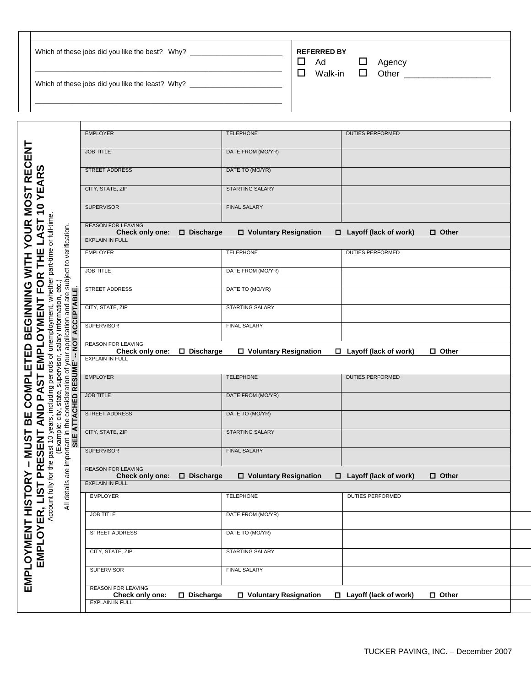| Which of these jobs did you like the best? Why?  | <b>REFERRED BY</b><br>$\Box$<br>Ad<br>Agency |
|--------------------------------------------------|----------------------------------------------|
|                                                  | Other<br>Walk-in $\Box$<br>П                 |
| Which of these jobs did you like the least? Why? |                                              |
|                                                  |                                              |

 $\mathbf{I}$ 

|                                                     |                                                | <b>DUTIES PERFORMED</b>                      |
|-----------------------------------------------------|------------------------------------------------|----------------------------------------------|
| <b>JOB TITLE</b>                                    | DATE FROM (MO/YR)                              |                                              |
| <b>STREET ADDRESS</b>                               | DATE TO (MO/YR)                                |                                              |
| CITY, STATE, ZIP                                    | <b>STARTING SALARY</b>                         |                                              |
| <b>SUPERVISOR</b>                                   | <b>FINAL SALARY</b>                            |                                              |
| <b>REASON FOR LEAVING</b><br>Check only one:        | D Discharge<br>□ Voluntary Resignation         | $\Box$ Layoff (lack of work)<br>$\Box$ Other |
| <b>EXPLAIN IN FULL</b>                              |                                                |                                              |
| <b>EMPLOYER</b>                                     | <b>TELEPHONE</b>                               | <b>DUTIES PERFORMED</b>                      |
| <b>JOB TITLE</b>                                    | DATE FROM (MO/YR)                              |                                              |
| <b>STREET ADDRESS</b>                               | DATE TO (MO/YR)                                |                                              |
| CITY, STATE, ZIP                                    | <b>STARTING SALARY</b>                         |                                              |
| <b>SUPERVISOR</b>                                   | <b>FINAL SALARY</b>                            |                                              |
| <b>REASON FOR LEAVING</b><br>Check only one:        | $\square$ Discharge<br>□ Voluntary Resignation | $\Box$ Layoff (lack of work)<br>$\Box$ Other |
|                                                     |                                                |                                              |
| <b>EXPLAIN IN FULL</b>                              |                                                |                                              |
|                                                     |                                                |                                              |
| <b>EMPLOYER</b>                                     | <b>TELEPHONE</b>                               | <b>DUTIES PERFORMED</b>                      |
| <b>JOB TITLE</b>                                    | DATE FROM (MO/YR)                              |                                              |
| <b>STREET ADDRESS</b>                               | DATE TO (MO/YR)                                |                                              |
| CITY, STATE, ZIP                                    | <b>STARTING SALARY</b>                         |                                              |
| <b>SUPERVISOR</b>                                   | <b>FINAL SALARY</b>                            |                                              |
| <b>REASON FOR LEAVING</b><br><b>Check only one:</b> | $\Box$ Discharge<br>□ Voluntary Resignation    | $\Box$ Layoff (lack of work)                 |
| <b>EXPLAIN IN FULL</b>                              |                                                |                                              |
| <b>EMPLOYER</b>                                     | <b>TELEPHONE</b>                               | <b>DUTIES PERFORMED</b>                      |
| <b>JOB TITLE</b>                                    | DATE FROM (MO/YR)                              |                                              |
| <b>STREET ADDRESS</b>                               | DATE TO (MO/YR)                                |                                              |
| CITY, STATE, ZIP                                    | <b>STARTING SALARY</b>                         |                                              |
| <b>SUPERVISOR</b>                                   | <b>FINAL SALARY</b>                            | $\Box$ Other                                 |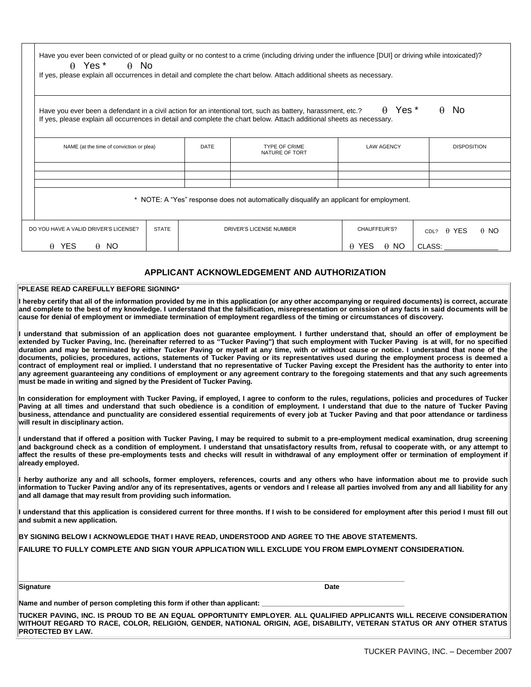| $\theta$ Yes <sup>*</sup><br>$A$ No<br>If yes, please explain all occurrences in detail and complete the chart below. Attach additional sheets as necessary.                                                                          |              |             |                                                                                         |                             |                                  |  |
|---------------------------------------------------------------------------------------------------------------------------------------------------------------------------------------------------------------------------------------|--------------|-------------|-----------------------------------------------------------------------------------------|-----------------------------|----------------------------------|--|
| Have you ever been a defendant in a civil action for an intentional tort, such as battery, harassment, etc.?<br>If yes, please explain all occurrences in detail and complete the chart below. Attach additional sheets as necessary. |              |             |                                                                                         | $\theta$ Yes <sup>*</sup>   | $\theta$ No                      |  |
| NAME (at the time of conviction or plea)                                                                                                                                                                                              |              | <b>DATE</b> | <b>TYPE OF CRIME</b><br>NATURE OF TORT                                                  | <b>LAW AGENCY</b>           | <b>DISPOSITION</b>               |  |
|                                                                                                                                                                                                                                       |              |             |                                                                                         |                             |                                  |  |
|                                                                                                                                                                                                                                       |              |             | * NOTE: A "Yes" response does not automatically disqualify an applicant for employment. |                             |                                  |  |
| DO YOU HAVE A VALID DRIVER'S LICENSE?                                                                                                                                                                                                 | <b>STATE</b> |             | DRIVER'S LICENSE NUMBER                                                                 | CHAUFFEUR'S?                | CDL? $\theta$ YES<br>$\theta$ NO |  |
| $\theta$ YES<br>$\theta$ NO                                                                                                                                                                                                           |              |             |                                                                                         | $\theta$ YES<br>$\theta$ NO | CLASS:                           |  |
|                                                                                                                                                                                                                                       |              |             | APPLICANT ACKNOWLEDGEMENT AND AUTHORIZATION                                             |                             |                                  |  |

**cause for denial of employment or immediate termination of employment regardless of the timing or circumstances of discovery. I understand that submission of an application does not guarantee employment. I further understand that, should an offer of employment be extended by Tucker Paving, Inc. (hereinafter referred to as "Tucker Paving") that such employment with Tucker Paving is at will, for no specified duration and may be terminated by either Tucker Paving or myself at any time, with or without cause or notice. I understand that none of the documents, policies, procedures, actions, statements of Tucker Paving or its representatives used during the employment process is deemed a contract of employment real or implied. I understand that no representative of Tucker Paving except the President has the authority to enter into any agreement guaranteeing any conditions of employment or any agreement contrary to the foregoing statements and that any such agreements** 

**In consideration for employment with Tucker Paving, if employed, I agree to conform to the rules, regulations, policies and procedures of Tucker Paving at all times and understand that such obedience is a condition of employment. I understand that due to the nature of Tucker Paving business, attendance and punctuality are considered essential requirements of every job at Tucker Paving and that poor attendance or tardiness will result in disciplinary action.** 

**I understand that if offered a position with Tucker Paving, I may be required to submit to a pre-employment medical examination, drug screening and background check as a condition of employment. I understand that unsatisfactory results from, refusal to cooperate with, or any attempt to affect the results of these pre-employments tests and checks will result in withdrawal of any employment offer or termination of employment if already employed.** 

**I herby authorize any and all schools, former employers, references, courts and any others who have information about me to provide such information to Tucker Paving and/or any of its representatives, agents or vendors and I release all parties involved from any and all liability for any and all damage that may result from providing such information.** 

**I understand that this application is considered current for three months. If I wish to be considered for employment after this period I must fill out and submit a new application.** 

**BY SIGNING BELOW I ACKNOWLEDGE THAT I HAVE READ, UNDERSTOOD AND AGREE TO THE ABOVE STATEMENTS.** 

**FAILURE TO FULLY COMPLETE AND SIGN YOUR APPLICATION WILL EXCLUDE YOU FROM EMPLOYMENT CONSIDERATION.**

**Signature Date Institute of the Signature Date Institute of the Date Institute of the Date Institute of the Date I** 

**\_\_\_\_\_\_\_\_\_\_\_\_\_\_\_\_\_\_\_\_\_\_\_\_\_\_\_\_\_\_\_\_\_\_\_\_\_\_\_\_\_\_\_\_\_\_\_\_\_\_\_\_\_\_\_\_\_\_\_\_\_\_\_\_\_\_\_\_\_\_\_\_\_\_\_\_\_\_\_\_\_\_\_\_\_\_\_\_\_\_\_\_\_\_\_\_\_\_\_\_**

Name and number of person completing this form if other than applicant:

**must be made in writing and signed by the President of Tucker Paving.** 

**TUCKER PAVING, INC. IS PROUD TO BE AN EQUAL OPPORTUNITY EMPLOYER. ALL QUALIFIED APPLICANTS WILL RECEIVE CONSIDERATION WITHOUT REGARD TO RACE, COLOR, RELIGION, GENDER, NATIONAL ORIGIN, AGE, DISABILITY, VETERAN STATUS OR ANY OTHER STATUS PROTECTED BY LAW.**